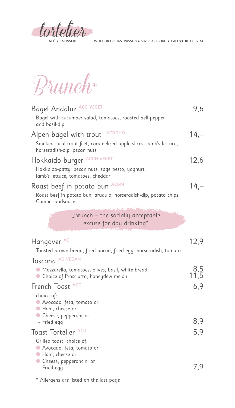

Brunch\*

| Bagel Andaluz ACG VEGET<br>Bagel with cucumber salad, tomatoes, roasted bell pepper<br>and basil-dip                                          | 9,6           |
|-----------------------------------------------------------------------------------------------------------------------------------------------|---------------|
| <b>ACDGHO</b><br>Alpen bagel with trout<br>Smoked local trout filet, caramelized apple slices, lamb's lettuce,<br>horseradish-dip, pecan nuts | $14,-$        |
| Hokkaido burger ACGH VEGET<br>Hokkaido-patty, pecan nuts, sage pesto, yoghurt,<br>lamb's lettuce, tomatoes, cheddar                           | 12,6          |
| Roast beef in potato bun ACGM<br>Roast beef in potato bun, arugula, horseradish-dip, potato chips,<br>Cumberlandsauce                         | $14,-$        |
| "Brunch – the socially acceptable<br>excuse for day drinking"                                                                                 |               |
| Hangover AC<br>Toasted brown bread, fried bacon, fried egg, horseradish, tomato<br>Toscana AG VEGAN                                           | 12,9          |
| ● Mozzarella, tomatoes, olives, basil, white bread<br>• Choice of Prosciutto, honeydew melon                                                  | $8,5$<br>11.5 |
| French Toast ACG<br>choice of:<br>● Avocado, feta, tomato or<br>● Ham, cheese or                                                              | 6,9           |
| • Cheese, pepperoncini<br>+ Fried egg<br>Toast Tortelier ACG                                                                                  | 8,9<br>5,9    |
| Grilled toast, choice of:<br>● Avocado, feta, tomato or<br>Ham, cheese or<br>• Cheese, pepperoncini or                                        |               |
| + Fried egg                                                                                                                                   | 7,9           |

\* Allergens are listed on the last page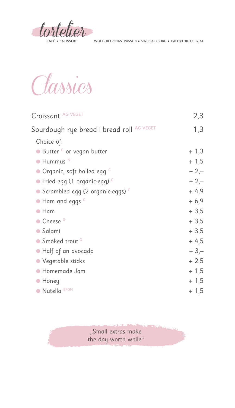

Classics

| Croissant AG VEGET                                | 2,3    |
|---------------------------------------------------|--------|
| Sourdough rye bread I bread roll AG VEGET         | 1,3    |
| Choice of:                                        |        |
| $\bullet$ Butter $^G$ or vegan butter             | $+1,3$ |
| Hummus <sup>N</sup>                               | $+1,5$ |
| $\bullet$ Organic, soft boiled egg $^\circ$       | $+2,-$ |
| Fried egg (1 organic-egg) <sup>c</sup>            | $+2,-$ |
| $\bullet$ Scrambled egg (2 organic-eggs) $^\circ$ | $+4,9$ |
| Ham and eggs <sup>c</sup>                         | $+6,9$ |
| Ham                                               | $+3,5$ |
| Cheese <sup>G</sup>                               | $+3,5$ |
| Salami                                            | $+3,5$ |
| • Smoked trout <sup>o</sup>                       | $+4,5$ |
| • Half of an avocado                              | $+3,-$ |
| • Vegetable sticks                                | $+2,5$ |
| Homemade Jam                                      | $+1,5$ |
| $\bullet$ Honey                                   | $+1,5$ |
| • Nutella EFGH                                    | $+1,5$ |

"Small extras make the day worth while"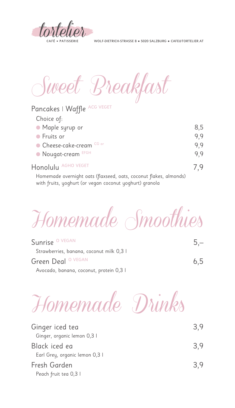

Pancakes | Waffle ACG VEGET

WOLF-DIETRICH-STRASSE 8 ● 5020 SALZBURG ● CAFE@TORTELIER.AT

Sweet Breakfast

| <b>FULLARES</b> PVUILLE                                          |     |
|------------------------------------------------------------------|-----|
| Choice of:                                                       |     |
| • Maple syrup or                                                 | 8,5 |
| • Fruits or                                                      | 9,9 |
| • Cheese-cake-cream CG or                                        | 9,9 |
| • Nougat-cream EFGH                                              | 9,9 |
| Honolulu AGHO VEGET                                              | 7.9 |
| Llamannada aisimilah aata (flaussad aata sasanut flaksa almanda) |     |

Homemade overnight oats (flaxseed, oats, coconut flakes, almonds) with fruits, yoghurt (or vegan coconut yoghurt) granola

Homemade Smoothies

| Sunrise <sup>O VEGAN</sup>               | $5 -$ |
|------------------------------------------|-------|
| Strawberries, banana, coconut milk 0,3 l |       |
| Green Deal <sup>O VEGAN</sup>            | 6,5   |
| Avocado, banana, coconut, protein 0,3 l  |       |



| Ginger iced tea                | 3.9 |
|--------------------------------|-----|
| Ginger, organic lemon 0,3 l    |     |
| Black iced ea                  | 3.9 |
| Earl Grey, organic lemon 0,3 l |     |
| Fresh Garden                   | 3.9 |
| Peach fruit tea 0,3 l          |     |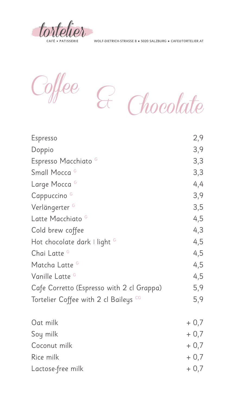

Coffee & Chocolate

| Espresso                                  | 2,9 |
|-------------------------------------------|-----|
| Doppio                                    | 3,9 |
| Espresso Macchiato <sup>G</sup>           | 3,3 |
| Small Mocca <sup>G</sup>                  | 3,3 |
| Large Mocca <sup>G</sup>                  | 4,4 |
| Cappuccino <sup>G</sup>                   | 3,9 |
| Verlängerter <sup>G</sup>                 | 3,5 |
| Latte Macchiato <sup>G</sup>              | 4,5 |
| Cold brew coffee                          | 4,3 |
| Hot chocolate dark I light $G$            | 4,5 |
| Chai Latte G                              | 4,5 |
| Matcha Latte G                            | 4,5 |
| Vanille Latte <sup>G</sup>                | 4,5 |
| Cafe Corretto (Espresso with 2 cl Grappa) | 5,9 |
| Tortelier Coffee with 2 cl Baileys CG     | 5,9 |

| Oat milk          | $+0,7$ |
|-------------------|--------|
| Soy milk          | $+0,7$ |
| Coconut milk      | $+0,7$ |
| Rice milk         | $+0,7$ |
| Lactose-free milk | $+0,7$ |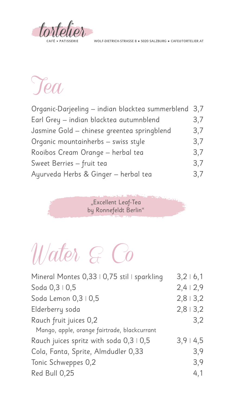

## Tea

| Organic-Darjeeling - indian blacktea summerblend 3,7 |     |
|------------------------------------------------------|-----|
| Earl Grey - indian blacktea autumnblend              | 3,7 |
| Jasmine Gold - chinese greentea springblend          | 3,7 |
| Organic mountainherbs - swiss style                  | 3,7 |
| Rooibos Cream Orange - herbal tea                    | 3,7 |
| Sweet Berries - fruit tea                            | 3,7 |
| Ayurveda Herbs & Ginger - herbal tea                 | 3,7 |

"Excellent Leaf-Tea by Ronnefeldt Berlin"

## Water & Co

| Mineral Montes 0,33   0,75 stil   sparkling  | 3,2   6,1 |
|----------------------------------------------|-----------|
| Soda 0,3   0,5                               | 2,412,9   |
| Soda Lemon 0,3   0,5                         | 2,813,2   |
| Elderberry soda                              | 2,813,2   |
| Rauch fruit juices 0,2                       | 3,2       |
| Mango, apple, orange fairtrade, blackcurrant |           |
| Rauch juices spritz with soda 0,3   0,5      | 3,914,5   |
| Cola, Fanta, Sprite, Almdudler 0,33          | 3,9       |
| Tonic Schweppes 0,2                          | 3,9       |
| Red Bull 0,25                                | 4,1       |
|                                              |           |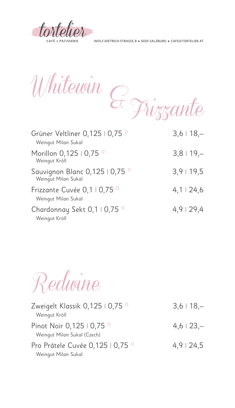tortelier

Whitewin Frizzante &

| Grüner Veltliner 0,125   0,75 °<br>Weingut Milan Sukal | $3,6$   18,-     |
|--------------------------------------------------------|------------------|
| Morillon 0,125   0,75 °<br>Weingut Kröll               | $3,8$   19,-     |
| Sauvignon Blanc 0,125   0,75 °<br>Weingut Milan Sukal  | 3,9119,5         |
| Frizzante Cuvée 0,1   0,75 °<br>Weingut Milan Sukal    | $4,1 \perp 24,6$ |
| Chardonnay Sekt 0,1   0,75 °<br>Weingut Kröll          | 4,9129,4         |

Redwine

| Zweigelt Klassik 0,125   0,75 °<br>Weingut Kröll         | $3,6$   18,- |
|----------------------------------------------------------|--------------|
| Pinot Noir 0,125   0,75 °<br>Weingut Milan Sukal (Czech) | $4,6$   23,- |
| Pro Prátele Cuvée 0,125   0,75 °<br>Weingut Milan Sukal  | $4,9$   24,5 |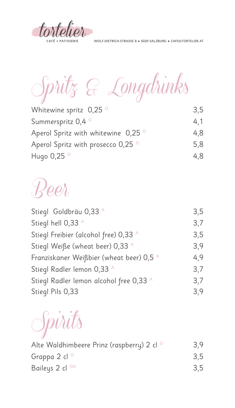



| Whitewine spritz $0,25$ <sup>o</sup>           | 3.5 |
|------------------------------------------------|-----|
| Summerspritz 0,4 <sup>o</sup>                  | 4,1 |
| Aperol Spritz with whitewine $0,25$ $^{\circ}$ | 4,8 |
| Aperol Spritz with prosecco 0,25 °             | 5,8 |
| Hugo $0,25$ <sup>o</sup>                       | 4.8 |

## Beer

| Stiegl Goldbräu 0,33 A                   | 3,5 |
|------------------------------------------|-----|
| Stiegl hell 0,33 A                       | 3,7 |
| Stiegl Freibier (alcohol free) 0,33 A    | 3,5 |
| Stiegl Weiße (wheat beer) 0,33 A         | 3,9 |
| Franziskaner Weißbier (wheat beer) 0,5 A | 4,9 |
| Stiegl Radler lemon 0,33 A               | 3,7 |
| Stiegl Radler lemon alcohol free 0,33 A  | 3,7 |
| Stiegl Pils 0,33                         | 3,9 |

Spirits

| Alte Waldhimbeere Prinz (raspberry) 2 cl <sup>o</sup> | 3,9 |
|-------------------------------------------------------|-----|
| Grappa 2 cl <sup>o</sup>                              | 3.5 |
| Baileys 2 cl <sup>og</sup>                            | 3,5 |